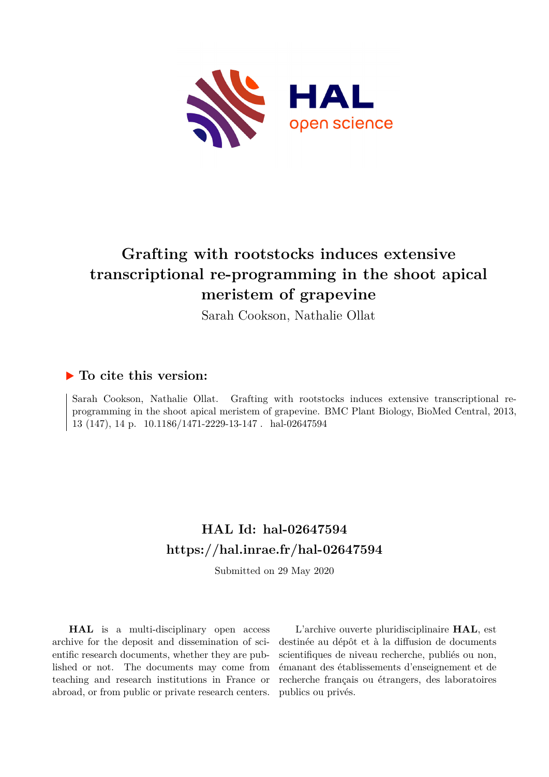

# **Grafting with rootstocks induces extensive transcriptional re-programming in the shoot apical meristem of grapevine**

Sarah Cookson, Nathalie Ollat

# **To cite this version:**

Sarah Cookson, Nathalie Ollat. Grafting with rootstocks induces extensive transcriptional reprogramming in the shoot apical meristem of grapevine. BMC Plant Biology, BioMed Central, 2013, 13 (147), 14 p. 10.1186/1471-2229-13-147 hal-02647594

# **HAL Id: hal-02647594 <https://hal.inrae.fr/hal-02647594>**

Submitted on 29 May 2020

**HAL** is a multi-disciplinary open access archive for the deposit and dissemination of scientific research documents, whether they are published or not. The documents may come from teaching and research institutions in France or abroad, or from public or private research centers.

L'archive ouverte pluridisciplinaire **HAL**, est destinée au dépôt et à la diffusion de documents scientifiques de niveau recherche, publiés ou non, émanant des établissements d'enseignement et de recherche français ou étrangers, des laboratoires publics ou privés.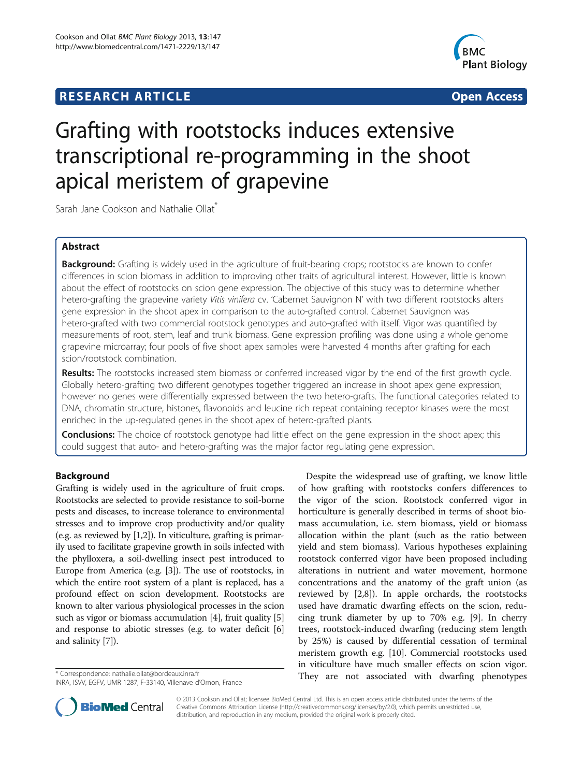# **RESEARCH ARTICLE Example 2014 CONSIDERING A RESEARCH ARTICLE**



# Grafting with rootstocks induces extensive transcriptional re-programming in the shoot apical meristem of grapevine

Sarah Jane Cookson and Nathalie Ollat<sup>\*</sup>

# Abstract

Background: Grafting is widely used in the agriculture of fruit-bearing crops; rootstocks are known to confer differences in scion biomass in addition to improving other traits of agricultural interest. However, little is known about the effect of rootstocks on scion gene expression. The objective of this study was to determine whether hetero-grafting the grapevine variety Vitis vinifera cv. 'Cabernet Sauvignon N' with two different rootstocks alters gene expression in the shoot apex in comparison to the auto-grafted control. Cabernet Sauvignon was hetero-grafted with two commercial rootstock genotypes and auto-grafted with itself. Vigor was quantified by measurements of root, stem, leaf and trunk biomass. Gene expression profiling was done using a whole genome grapevine microarray; four pools of five shoot apex samples were harvested 4 months after grafting for each scion/rootstock combination.

Results: The rootstocks increased stem biomass or conferred increased vigor by the end of the first growth cycle. Globally hetero-grafting two different genotypes together triggered an increase in shoot apex gene expression; however no genes were differentially expressed between the two hetero-grafts. The functional categories related to DNA, chromatin structure, histones, flavonoids and leucine rich repeat containing receptor kinases were the most enriched in the up-regulated genes in the shoot apex of hetero-grafted plants.

**Conclusions:** The choice of rootstock genotype had little effect on the gene expression in the shoot apex; this could suggest that auto- and hetero-grafting was the major factor regulating gene expression.

# Background

Grafting is widely used in the agriculture of fruit crops. Rootstocks are selected to provide resistance to soil-borne pests and diseases, to increase tolerance to environmental stresses and to improve crop productivity and/or quality (e.g. as reviewed by [1,2]). In viticulture, grafting is primarily used to facilitate grapevine growth in soils infected with the phylloxera, a soil-dwelling insect pest introduced to Europe from America (e.g. [3]). The use of rootstocks, in which the entire root system of a plant is replaced, has a profound effect on scion development. Rootstocks are known to alter various physiological processes in the scion such as vigor or biomass accumulation [4], fruit quality [5] and response to abiotic stresses (e.g. to water deficit [6] and salinity [7]).

Despite the widespread use of grafting, we know little of how grafting with rootstocks confers differences to the vigor of the scion. Rootstock conferred vigor in horticulture is generally described in terms of shoot biomass accumulation, i.e. stem biomass, yield or biomass allocation within the plant (such as the ratio between yield and stem biomass). Various hypotheses explaining rootstock conferred vigor have been proposed including alterations in nutrient and water movement, hormone concentrations and the anatomy of the graft union (as reviewed by [2,8]). In apple orchards, the rootstocks used have dramatic dwarfing effects on the scion, reducing trunk diameter by up to 70% e.g. [9]. In cherry trees, rootstock-induced dwarfing (reducing stem length by 25%) is caused by differential cessation of terminal meristem growth e.g. [10]. Commercial rootstocks used in viticulture have much smaller effects on scion vigor. They are not associated with dwarfing phenotypes \* Correspondence: [nathalie.ollat@bordeaux.inra.fr](mailto:nathalie.ollat@bordeaux.inra.fr)



© 2013 Cookson and Ollat; licensee BioMed Central Ltd. This is an open access article distributed under the terms of the Creative Commons Attribution License (<http://creativecommons.org/licenses/by/2.0>), which permits unrestricted use, distribution, and reproduction in any medium, provided the original work is properly cited.

INRA, ISVV, EGFV, UMR 1287, F-33140, Villenave d'Ornon, France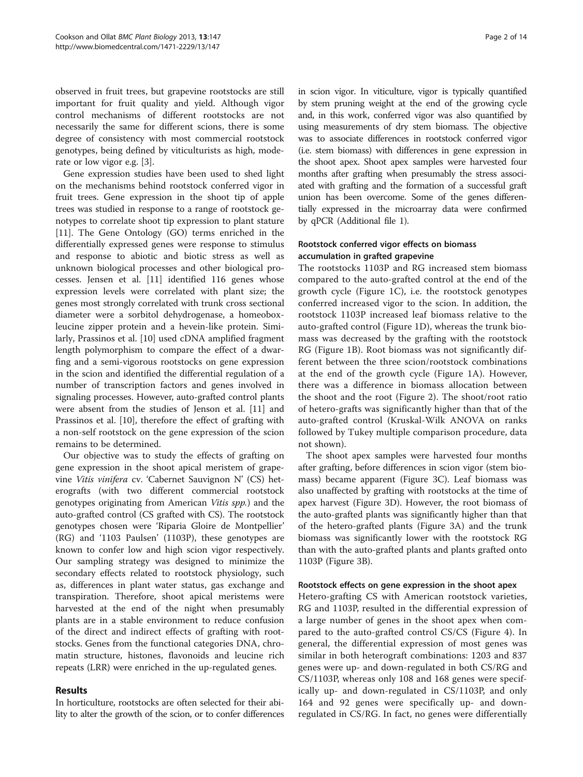observed in fruit trees, but grapevine rootstocks are still important for fruit quality and yield. Although vigor control mechanisms of different rootstocks are not necessarily the same for different scions, there is some degree of consistency with most commercial rootstock genotypes, being defined by viticulturists as high, moderate or low vigor e.g. [3].

Gene expression studies have been used to shed light on the mechanisms behind rootstock conferred vigor in fruit trees. Gene expression in the shoot tip of apple trees was studied in response to a range of rootstock genotypes to correlate shoot tip expression to plant stature [11]. The Gene Ontology (GO) terms enriched in the differentially expressed genes were response to stimulus and response to abiotic and biotic stress as well as unknown biological processes and other biological processes. Jensen et al. [11] identified 116 genes whose expression levels were correlated with plant size; the genes most strongly correlated with trunk cross sectional diameter were a sorbitol dehydrogenase, a homeoboxleucine zipper protein and a hevein-like protein. Similarly, Prassinos et al. [10] used cDNA amplified fragment length polymorphism to compare the effect of a dwarfing and a semi-vigorous rootstocks on gene expression in the scion and identified the differential regulation of a number of transcription factors and genes involved in signaling processes. However, auto-grafted control plants were absent from the studies of Jenson et al. [11] and Prassinos et al. [10], therefore the effect of grafting with a non-self rootstock on the gene expression of the scion remains to be determined.

Our objective was to study the effects of grafting on gene expression in the shoot apical meristem of grapevine Vitis vinifera cv. 'Cabernet Sauvignon N' (CS) heterografts (with two different commercial rootstock genotypes originating from American Vitis spp.) and the auto-grafted control (CS grafted with CS). The rootstock genotypes chosen were 'Riparia Gloire de Montpellier' (RG) and '1103 Paulsen' (1103P), these genotypes are known to confer low and high scion vigor respectively. Our sampling strategy was designed to minimize the secondary effects related to rootstock physiology, such as, differences in plant water status, gas exchange and transpiration. Therefore, shoot apical meristems were harvested at the end of the night when presumably plants are in a stable environment to reduce confusion of the direct and indirect effects of grafting with rootstocks. Genes from the functional categories DNA, chromatin structure, histones, flavonoids and leucine rich repeats (LRR) were enriched in the up-regulated genes.

#### Results

In horticulture, rootstocks are often selected for their ability to alter the growth of the scion, or to confer differences

in scion vigor. In viticulture, vigor is typically quantified by stem pruning weight at the end of the growing cycle and, in this work, conferred vigor was also quantified by using measurements of dry stem biomass. The objective was to associate differences in rootstock conferred vigor (i.e. stem biomass) with differences in gene expression in the shoot apex. Shoot apex samples were harvested four months after grafting when presumably the stress associated with grafting and the formation of a successful graft union has been overcome. Some of the genes differentially expressed in the microarray data were confirmed by qPCR (Additional file 1).

## Rootstock conferred vigor effects on biomass accumulation in grafted grapevine

The rootstocks 1103P and RG increased stem biomass compared to the auto-grafted control at the end of the growth cycle (Figure 1C), i.e. the rootstock genotypes conferred increased vigor to the scion. In addition, the rootstock 1103P increased leaf biomass relative to the auto-grafted control (Figure 1D), whereas the trunk biomass was decreased by the grafting with the rootstock RG (Figure 1B). Root biomass was not significantly different between the three scion/rootstock combinations at the end of the growth cycle (Figure 1A). However, there was a difference in biomass allocation between the shoot and the root (Figure 2). The shoot/root ratio of hetero-grafts was significantly higher than that of the auto-grafted control (Kruskal-Wilk ANOVA on ranks followed by Tukey multiple comparison procedure, data not shown).

The shoot apex samples were harvested four months after grafting, before differences in scion vigor (stem biomass) became apparent (Figure 3C). Leaf biomass was also unaffected by grafting with rootstocks at the time of apex harvest (Figure 3D). However, the root biomass of the auto-grafted plants was significantly higher than that of the hetero-grafted plants (Figure 3A) and the trunk biomass was significantly lower with the rootstock RG than with the auto-grafted plants and plants grafted onto 1103P (Figure 3B).

#### Rootstock effects on gene expression in the shoot apex

Hetero-grafting CS with American rootstock varieties, RG and 1103P, resulted in the differential expression of a large number of genes in the shoot apex when compared to the auto-grafted control CS/CS (Figure 4). In general, the differential expression of most genes was similar in both heterograft combinations: 1203 and 837 genes were up- and down-regulated in both CS/RG and CS/1103P, whereas only 108 and 168 genes were specifically up- and down-regulated in CS/1103P, and only 164 and 92 genes were specifically up- and downregulated in CS/RG. In fact, no genes were differentially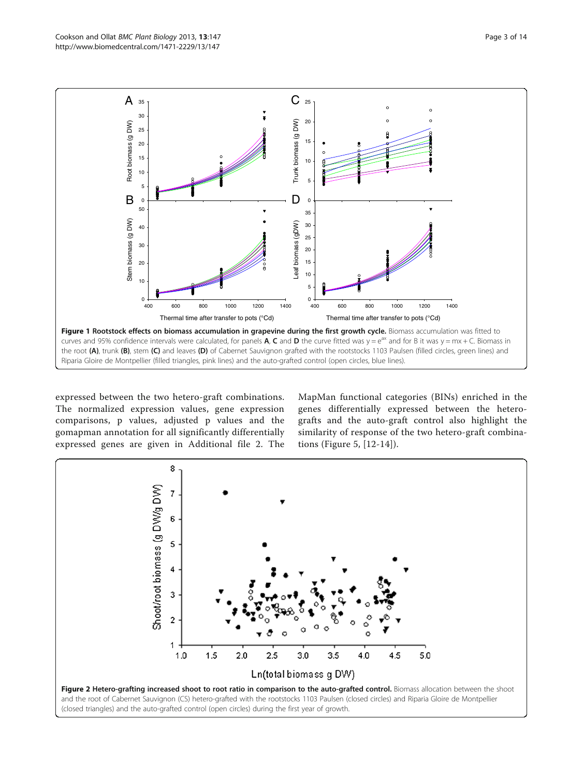expressed between the two hetero-graft combinations. The normalized expression values, gene expression comparisons, p values, adjusted p values and the gomapman annotation for all significantly differentially expressed genes are given in Additional file 2. The

Riparia Gloire de Montpellier (filled triangles, pink lines) and the auto-grafted control (open circles, blue lines).

MapMan functional categories (BINs) enriched in the genes differentially expressed between the heterografts and the auto-graft control also highlight the similarity of response of the two hetero-graft combinations (Figure 5, [12-14]).



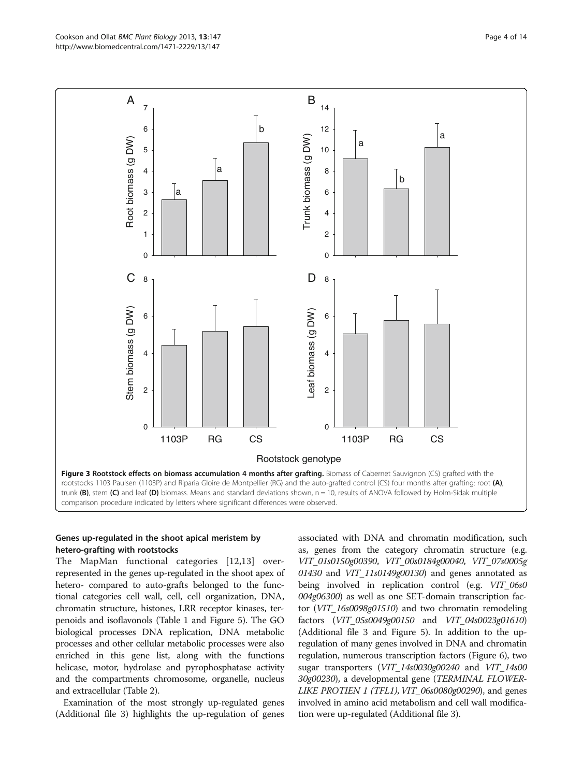

#### Genes up-regulated in the shoot apical meristem by hetero-grafting with rootstocks

The MapMan functional categories [12,13] overrepresented in the genes up-regulated in the shoot apex of hetero- compared to auto-grafts belonged to the functional categories cell wall, cell, cell organization, DNA, chromatin structure, histones, LRR receptor kinases, terpenoids and isoflavonols (Table 1 and Figure 5). The GO biological processes DNA replication, DNA metabolic processes and other cellular metabolic processes were also enriched in this gene list, along with the functions helicase, motor, hydrolase and pyrophosphatase activity and the compartments chromosome, organelle, nucleus and extracellular (Table 2).

Examination of the most strongly up-regulated genes (Additional file 3) highlights the up-regulation of genes

associated with DNA and chromatin modification, such as, genes from the category chromatin structure (e.g. VIT\_01s0150g00390, VIT\_00s0184g00040, VIT\_07s0005g 01430 and VIT\_11s0149g00130) and genes annotated as being involved in replication control (e.g. VIT\_06s0 004g06300) as well as one SET-domain transcription factor (VIT\_16s0098g01510) and two chromatin remodeling factors (VIT\_05s0049g00150 and VIT\_04s0023g01610) (Additional file 3 and Figure 5). In addition to the upregulation of many genes involved in DNA and chromatin regulation, numerous transcription factors (Figure 6), two sugar transporters (VIT\_14s0030g00240 and VIT\_14s00 30g00230), a developmental gene (TERMINAL FLOWER-*LIKE PROTIEN 1 (TFL1), VIT\_06s0080g00290)*, and genes involved in amino acid metabolism and cell wall modification were up-regulated (Additional file 3).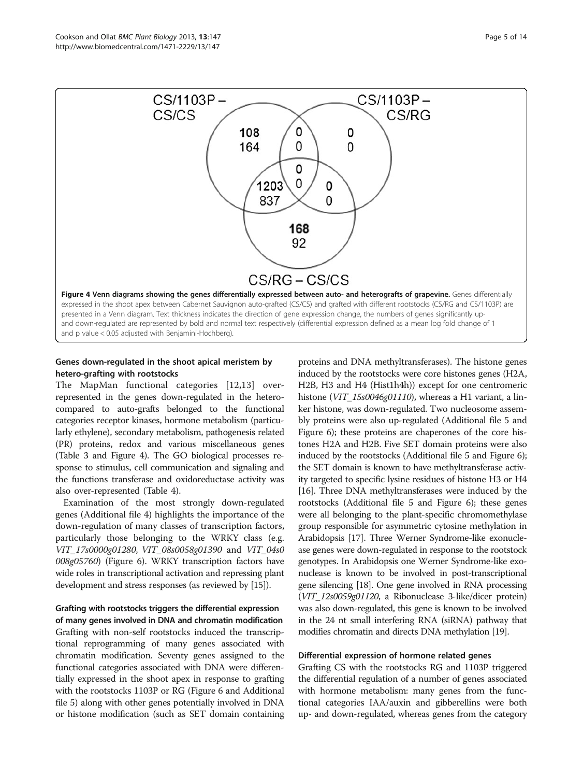

## Genes down-regulated in the shoot apical meristem by hetero-grafting with rootstocks

The MapMan functional categories [12,13] overrepresented in the genes down-regulated in the heterocompared to auto-grafts belonged to the functional categories receptor kinases, hormone metabolism (particularly ethylene), secondary metabolism, pathogenesis related (PR) proteins, redox and various miscellaneous genes (Table 3 and Figure 4). The GO biological processes response to stimulus, cell communication and signaling and the functions transferase and oxidoreductase activity was also over-represented (Table 4).

Examination of the most strongly down-regulated genes (Additional file 4) highlights the importance of the down-regulation of many classes of transcription factors, particularly those belonging to the WRKY class (e.g. VIT\_17s0000g01280, VIT\_08s0058g01390 and VIT\_04s0 008g05760) (Figure 6). WRKY transcription factors have wide roles in transcriptional activation and repressing plant development and stress responses (as reviewed by [15]).

# Grafting with rootstocks triggers the differential expression of many genes involved in DNA and chromatin modification Grafting with non-self rootstocks induced the transcriptional reprogramming of many genes associated with chromatin modification. Seventy genes assigned to the functional categories associated with DNA were differentially expressed in the shoot apex in response to grafting with the rootstocks 1103P or RG (Figure 6 and Additional file 5) along with other genes potentially involved in DNA or histone modification (such as SET domain containing

proteins and DNA methyltransferases). The histone genes induced by the rootstocks were core histones genes (H2A, H2B, H3 and H4 (Hist1h4h)) except for one centromeric histone (VIT\_15s0046g01110), whereas a H1 variant, a linker histone, was down-regulated. Two nucleosome assembly proteins were also up-regulated (Additional file 5 and Figure 6); these proteins are chaperones of the core histones H2A and H2B. Five SET domain proteins were also induced by the rootstocks (Additional file 5 and Figure 6); the SET domain is known to have methyltransferase activity targeted to specific lysine residues of histone H3 or H4 [16]. Three DNA methyltransferases were induced by the rootstocks (Additional file 5 and Figure 6); these genes were all belonging to the plant-specific chromomethylase group responsible for asymmetric cytosine methylation in Arabidopsis [17]. Three Werner Syndrome-like exonuclease genes were down-regulated in response to the rootstock genotypes. In Arabidopsis one Werner Syndrome-like exonuclease is known to be involved in post-transcriptional gene silencing [18]. One gene involved in RNA processing (VIT\_12s0059g01120, a Ribonuclease 3-like/dicer protein) was also down-regulated, this gene is known to be involved in the 24 nt small interfering RNA (siRNA) pathway that modifies chromatin and directs DNA methylation [19].

#### Differential expression of hormone related genes

Grafting CS with the rootstocks RG and 1103P triggered the differential regulation of a number of genes associated with hormone metabolism: many genes from the functional categories IAA/auxin and gibberellins were both up- and down-regulated, whereas genes from the category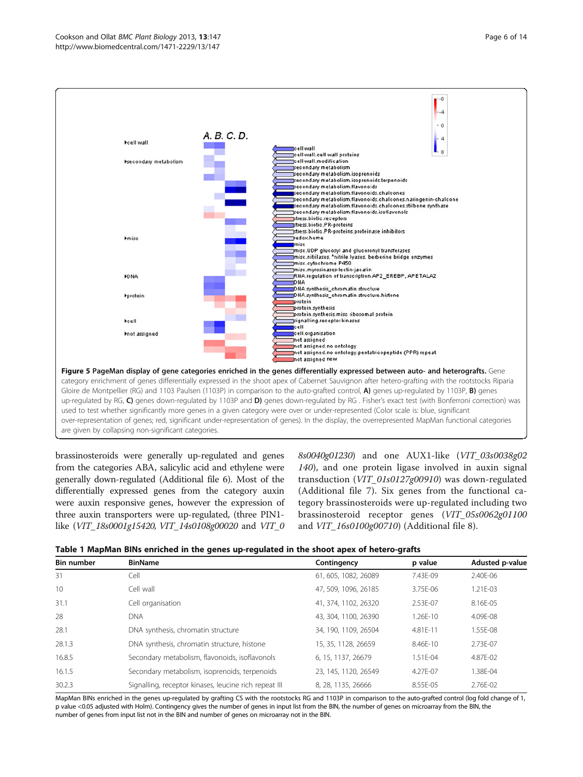



brassinosteroids were generally up-regulated and genes from the categories ABA, salicylic acid and ethylene were generally down-regulated (Additional file 6). Most of the differentially expressed genes from the category auxin were auxin responsive genes, however the expression of three auxin transporters were up-regulated, (three PIN1 like (VIT\_18s0001g15420, VIT\_14s0108g00020 and VIT\_0 8s0040g01230) and one AUX1-like (VIT\_03s0038g02 140), and one protein ligase involved in auxin signal transduction (VIT\_01s0127g00910) was down-regulated (Additional file 7). Six genes from the functional category brassinosteroids were up-regulated including two brassinosteroid receptor genes (VIT\_05s0062g01100 and VIT\_16s0100g00710) (Additional file 8).



| <b>Bin number</b> | <b>BinName</b>                                        | Contingency          | p value  | Adusted p-value |
|-------------------|-------------------------------------------------------|----------------------|----------|-----------------|
| 31                | Cell                                                  | 61, 605, 1082, 26089 | 7.43E-09 | $2.40F - 06$    |
| 10                | Cell wall                                             | 47, 509, 1096, 26185 | 3.75E-06 | 1.21E-03        |
| 31.1              | Cell organisation                                     | 41, 374, 1102, 26320 | 2.53E-07 | 8.16E-05        |
| 28                | <b>DNA</b>                                            | 43, 304, 1100, 26390 | 1.26E-10 | 4.09E-08        |
| 28.1              | DNA synthesis, chromatin structure                    | 34, 190, 1109, 26504 | 4.81E-11 | 1.55E-08        |
| 28.1.3            | DNA synthesis, chromatin structure, histone           | 15, 35, 1128, 26659  | 8.46E-10 | 2.73E-07        |
| 16.8.5            | Secondary metabolism, flavonoids, isoflavonols        | 6, 15, 1137, 26679   | 1.51F-04 | 4.87E-02        |
| 16.1.5            | Secondary metabolism, isoprenoids, terpenoids         | 23, 145, 1120, 26549 | 4.27F-07 | 1.38F-04        |
| 30.2.3            | Signalling, receptor kinases, leucine rich repeat III | 8, 28, 1135, 26666   | 8.55E-05 | 2.76E-02        |

MapMan BINs enriched in the genes up-regulated by grafting CS with the rootstocks RG and 1103P in comparison to the auto-grafted control (log fold change of 1, p value <0.05 adjusted with Holm). Contingency gives the number of genes in input list from the BIN, the number of genes on microarray from the BIN, the number of genes from input list not in the BIN and number of genes on microarray not in the BIN.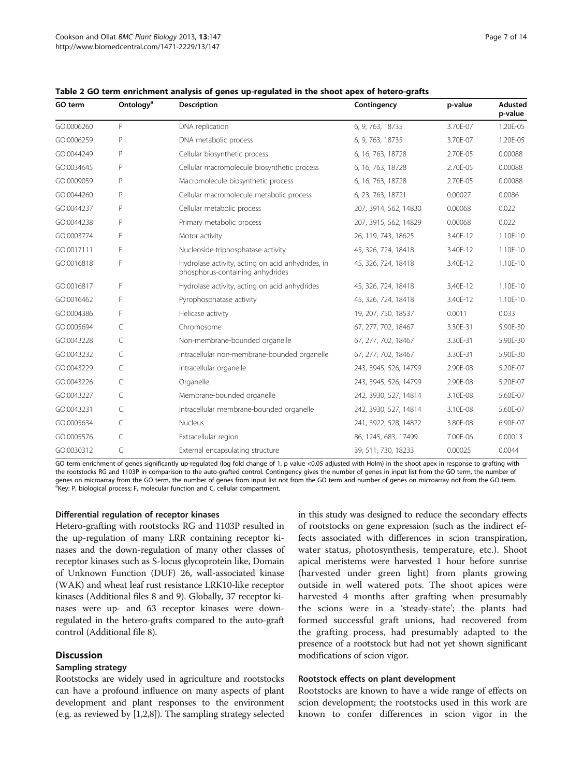| GO term    | Ontology <sup>a</sup> | <b>Description</b>                                                                    | Contingency           | p-value  | Adusted<br>p-value |
|------------|-----------------------|---------------------------------------------------------------------------------------|-----------------------|----------|--------------------|
| GO:0006260 | P                     | DNA replication                                                                       | 6, 9, 763, 18735      | 3.70E-07 | 1.20E-05           |
| GO:0006259 | P                     | DNA metabolic process                                                                 | 6, 9, 763, 18735      | 3.70E-07 | 1.20E-05           |
| GO:0044249 | P                     | Cellular biosynthetic process                                                         | 6, 16, 763, 18728     | 2.70E-05 | 0.00088            |
| GO:0034645 | P                     | Cellular macromolecule biosynthetic process                                           | 6, 16, 763, 18728     | 2.70E-05 | 0.00088            |
| GO:0009059 | P                     | Macromolecule biosynthetic process                                                    | 6, 16, 763, 18728     | 2.70E-05 | 0.00088            |
| GO:0044260 | P                     | Cellular macromolecule metabolic process                                              | 6, 23, 763, 18721     | 0.00027  | 0.0086             |
| GO:0044237 | P                     | Cellular metabolic process                                                            | 207, 3914, 562, 14830 | 0.00068  | 0.022              |
| GO:0044238 | P                     | Primary metabolic process                                                             | 207, 3915, 562, 14829 | 0.00068  | 0.022              |
| GO:0003774 | F                     | Motor activity                                                                        | 26, 119, 743, 18625   | 3.40E-12 | 1.10E-10           |
| GO:0017111 | F                     | Nucleoside-triphosphatase activity                                                    | 45, 326, 724, 18418   | 3.40E-12 | 1.10E-10           |
| GO:0016818 | F                     | Hydrolase activity, acting on acid anhydrides, in<br>phosphorus-containing anhydrides | 45, 326, 724, 18418   | 3.40E-12 | 1.10E-10           |
| GO:0016817 | F                     | Hydrolase activity, acting on acid anhydrides                                         | 45, 326, 724, 18418   | 3.40E-12 | 1.10E-10           |
| GO:0016462 | F                     | Pyrophosphatase activity                                                              | 45, 326, 724, 18418   | 3.40E-12 | 1.10E-10           |
| GO:0004386 | F                     | Helicase activity                                                                     | 19, 207, 750, 18537   | 0.0011   | 0.033              |
| GO:0005694 | C                     | Chromosome                                                                            | 67, 277, 702, 18467   | 3.30E-31 | 5.90E-30           |
| GO:0043228 | C                     | Non-membrane-bounded organelle                                                        | 67, 277, 702, 18467   | 3.30E-31 | 5.90E-30           |
| GO:0043232 | C                     | Intracellular non-membrane-bounded organelle                                          | 67, 277, 702, 18467   | 3.30E-31 | 5.90E-30           |
| GO:0043229 | C                     | Intracellular organelle                                                               | 243, 3945, 526, 14799 | 2.90E-08 | 5.20E-07           |
| GO:0043226 | C                     | Organelle                                                                             | 243, 3945, 526, 14799 | 2.90E-08 | 5.20E-07           |
| GO:0043227 | C                     | Membrane-bounded organelle                                                            | 242, 3930, 527, 14814 | 3.10E-08 | 5.60E-07           |
| GO:0043231 | C                     | Intracellular membrane-bounded organelle                                              | 242, 3930, 527, 14814 | 3.10E-08 | 5.60E-07           |
| GO:0005634 | C                     | <b>Nucleus</b>                                                                        | 241, 3922, 528, 14822 | 3.80E-08 | 6.90E-07           |
| GO:0005576 | C                     | Extracellular region                                                                  | 86, 1245, 683, 17499  | 7.00E-06 | 0.00013            |
| GO:0030312 | C                     | External encapsulating structure                                                      | 39, 511, 730, 18233   | 0.00025  | 0.0044             |

Table 2 GO term enrichment analysis of genes up-regulated in the shoot apex of hetero-grafts

GO term enrichment of genes significantly up-regulated (log fold change of 1, p value <0.05 adjusted with Holm) in the shoot apex in response to grafting with the rootstocks RG and 1103P in comparison to the auto-grafted control. Contingency gives the number of genes in input list from the GO term, the number of genes on microarray from the GO term, the number of genes from input list not from the GO term and number of genes on microarray not from the GO term. <sup>a</sup>Key: P, biological process; F, molecular function and C, cellular compartment.

#### Differential regulation of receptor kinases

Hetero-grafting with rootstocks RG and 1103P resulted in the up-regulation of many LRR containing receptor kinases and the down-regulation of many other classes of receptor kinases such as S-locus glycoprotein like, Domain of Unknown Function (DUF) 26, wall-associated kinase (WAK) and wheat leaf rust resistance LRK10-like receptor kinases (Additional files 8 and 9). Globally, 37 receptor kinases were up- and 63 receptor kinases were downregulated in the hetero-grafts compared to the auto-graft control (Additional file 8).

#### **Discussion**

#### Sampling strategy

Rootstocks are widely used in agriculture and rootstocks can have a profound influence on many aspects of plant development and plant responses to the environment (e.g. as reviewed by [1,2,8]). The sampling strategy selected

in this study was designed to reduce the secondary effects of rootstocks on gene expression (such as the indirect effects associated with differences in scion transpiration, water status, photosynthesis, temperature, etc.). Shoot apical meristems were harvested 1 hour before sunrise (harvested under green light) from plants growing outside in well watered pots. The shoot apices were harvested 4 months after grafting when presumably the scions were in a 'steady-state'; the plants had formed successful graft unions, had recovered from the grafting process, had presumably adapted to the presence of a rootstock but had not yet shown significant modifications of scion vigor.

#### Rootstock effects on plant development

Rootstocks are known to have a wide range of effects on scion development; the rootstocks used in this work are known to confer differences in scion vigor in the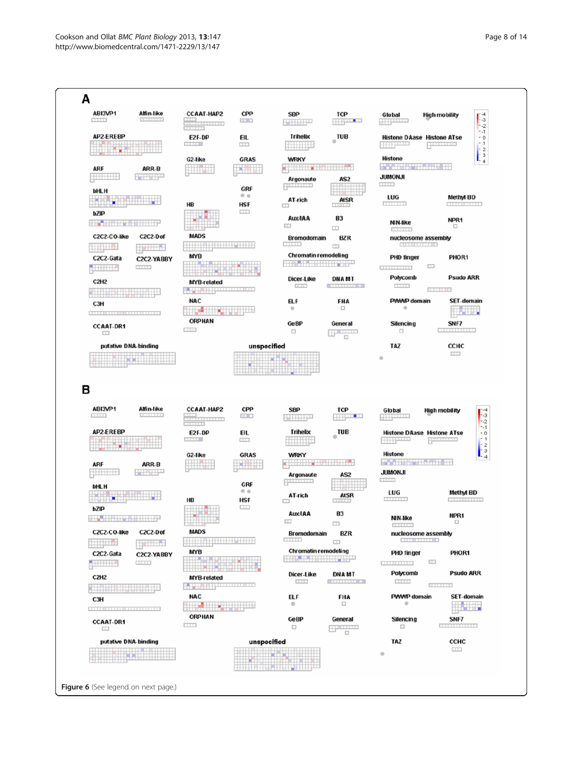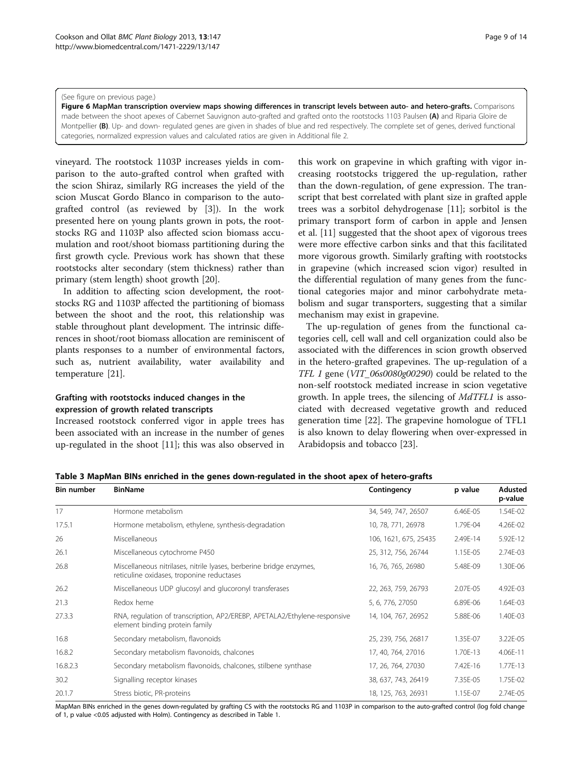#### (See figure on previous page.)

Figure 6 MapMan transcription overview maps showing differences in transcript levels between auto- and hetero-grafts. Comparisons made between the shoot apexes of Cabernet Sauvignon auto-grafted and grafted onto the rootstocks 1103 Paulsen (A) and Riparia Gloire de Montpellier (B). Up- and down- regulated genes are given in shades of blue and red respectively. The complete set of genes, derived functional categories, normalized expression values and calculated ratios are given in Additional file 2.

vineyard. The rootstock 1103P increases yields in comparison to the auto-grafted control when grafted with the scion Shiraz, similarly RG increases the yield of the scion Muscat Gordo Blanco in comparison to the autografted control (as reviewed by [3]). In the work presented here on young plants grown in pots, the rootstocks RG and 1103P also affected scion biomass accumulation and root/shoot biomass partitioning during the first growth cycle. Previous work has shown that these rootstocks alter secondary (stem thickness) rather than primary (stem length) shoot growth [20].

In addition to affecting scion development, the rootstocks RG and 1103P affected the partitioning of biomass between the shoot and the root, this relationship was stable throughout plant development. The intrinsic differences in shoot/root biomass allocation are reminiscent of plants responses to a number of environmental factors, such as, nutrient availability, water availability and temperature [21].

#### Grafting with rootstocks induced changes in the expression of growth related transcripts

Increased rootstock conferred vigor in apple trees has been associated with an increase in the number of genes up-regulated in the shoot [11]; this was also observed in

this work on grapevine in which grafting with vigor increasing rootstocks triggered the up-regulation, rather than the down-regulation, of gene expression. The transcript that best correlated with plant size in grafted apple trees was a sorbitol dehydrogenase [11]; sorbitol is the primary transport form of carbon in apple and Jensen et al. [11] suggested that the shoot apex of vigorous trees were more effective carbon sinks and that this facilitated more vigorous growth. Similarly grafting with rootstocks in grapevine (which increased scion vigor) resulted in the differential regulation of many genes from the functional categories major and minor carbohydrate metabolism and sugar transporters, suggesting that a similar mechanism may exist in grapevine.

The up-regulation of genes from the functional categories cell, cell wall and cell organization could also be associated with the differences in scion growth observed in the hetero-grafted grapevines. The up-regulation of a TFL 1 gene (VIT\_06s0080g00290) could be related to the non-self rootstock mediated increase in scion vegetative growth. In apple trees, the silencing of MdTFL1 is associated with decreased vegetative growth and reduced generation time [22]. The grapevine homologue of TFL1 is also known to delay flowering when over-expressed in Arabidopsis and tobacco [23].

Table 3 MapMan BINs enriched in the genes down-regulated in the shoot apex of hetero-grafts

| <b>Bin number</b> | <b>BinName</b>                                                                                                   | Contingency           | p value  | Adusted<br>p-value |
|-------------------|------------------------------------------------------------------------------------------------------------------|-----------------------|----------|--------------------|
| 17                | Hormone metabolism                                                                                               | 34, 549, 747, 26507   | 6.46E-05 | 1.54E-02           |
| 17.5.1            | Hormone metabolism, ethylene, synthesis-degradation                                                              | 10, 78, 771, 26978    | 1.79E-04 | 4.26E-02           |
| 26                | Miscellaneous                                                                                                    | 106, 1621, 675, 25435 | 2.49E-14 | 5.92E-12           |
| 26.1              | Miscellaneous cytochrome P450                                                                                    | 25, 312, 756, 26744   | 1.15E-05 | 2.74E-03           |
| 26.8              | Miscellaneous nitrilases, nitrile lyases, berberine bridge enzymes,<br>reticuline oxidases, troponine reductases | 16, 76, 765, 26980    | 5.48E-09 | 1.30E-06           |
| 26.2              | Miscellaneous UDP glucosyl and glucoronyl transferases                                                           | 22, 263, 759, 26793   | 2.07E-05 | 4.92E-03           |
| 21.3              | Redox heme                                                                                                       | 5, 6, 776, 27050      | 6.89E-06 | 1.64E-03           |
| 27.3.3            | RNA, regulation of transcription, AP2/EREBP, APETALA2/Ethylene-responsive<br>element binding protein family      | 14, 104, 767, 26952   | 5.88E-06 | 1.40E-03           |
| 16.8              | Secondary metabolism, flavonoids                                                                                 | 25, 239, 756, 26817   | 1.35E-07 | 3.22E-05           |
| 16.8.2            | Secondary metabolism flavonoids, chalcones                                                                       | 17, 40, 764, 27016    | 1.70E-13 | 4.06E-11           |
| 16.8.2.3          | Secondary metabolism flavonoids, chalcones, stilbene synthase                                                    | 17, 26, 764, 27030    | 7.42E-16 | 1.77E-13           |
| 30.2              | Signalling receptor kinases                                                                                      | 38, 637, 743, 26419   | 7.35E-05 | 1.75E-02           |
| 20.1.7            | Stress biotic, PR-proteins                                                                                       | 18, 125, 763, 26931   | 1.15E-07 | 2.74E-05           |

MapMan BINs enriched in the genes down-regulated by grafting CS with the rootstocks RG and 1103P in comparison to the auto-grafted control (log fold change of 1, p value <0.05 adjusted with Holm). Contingency as described in Table 1.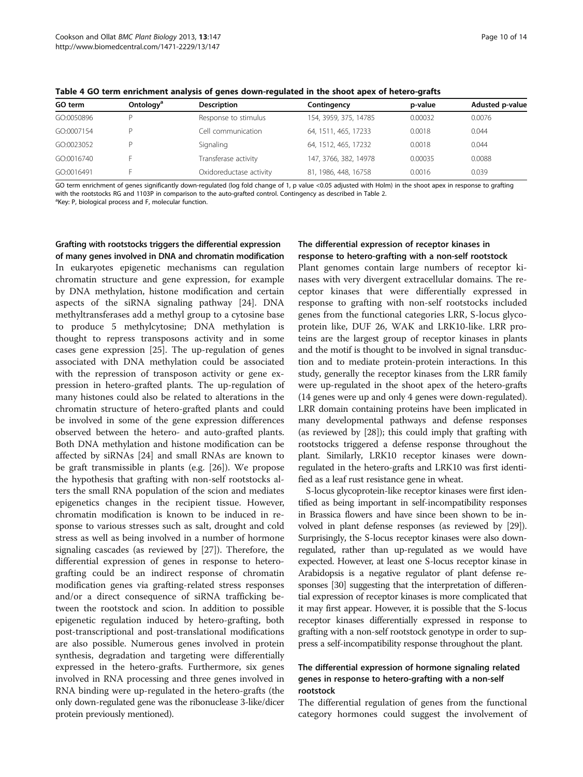| GO term    | Ontology <sup>a</sup> | <b>Description</b>      | Contingency           | p-value | Adusted p-value |
|------------|-----------------------|-------------------------|-----------------------|---------|-----------------|
| GO:0050896 |                       | Response to stimulus    | 154, 3959, 375, 14785 | 0.00032 | 0.0076          |
| GO:0007154 |                       | Cell communication      | 64, 1511, 465, 17233  | 0.0018  | 0.044           |
| GO:0023052 |                       | Signaling               | 64, 1512, 465, 17232  | 0.0018  | 0.044           |
| GO:0016740 |                       | Transferase activity    | 147, 3766, 382, 14978 | 0.00035 | 0.0088          |
| GO:0016491 |                       | Oxidoreductase activity | 81, 1986, 448, 16758  | 0.0016  | 0.039           |

Table 4 GO term enrichment analysis of genes down-regulated in the shoot apex of hetero-grafts

GO term enrichment of genes significantly down-regulated (log fold change of 1, p value <0.05 adjusted with Holm) in the shoot apex in response to grafting with the rootstocks RG and 1103P in comparison to the auto-grafted control. Contingency as described in Table 2.

<sup>a</sup>Key: P, biological process and F, molecular function.

Grafting with rootstocks triggers the differential expression of many genes involved in DNA and chromatin modification In eukaryotes epigenetic mechanisms can regulation chromatin structure and gene expression, for example by DNA methylation, histone modification and certain aspects of the siRNA signaling pathway [24]. DNA methyltransferases add a methyl group to a cytosine base to produce 5 methylcytosine; DNA methylation is thought to repress transposons activity and in some cases gene expression [25]. The up-regulation of genes associated with DNA methylation could be associated with the repression of transposon activity or gene expression in hetero-grafted plants. The up-regulation of many histones could also be related to alterations in the chromatin structure of hetero-grafted plants and could be involved in some of the gene expression differences observed between the hetero- and auto-grafted plants. Both DNA methylation and histone modification can be affected by siRNAs [24] and small RNAs are known to be graft transmissible in plants (e.g. [26]). We propose the hypothesis that grafting with non-self rootstocks alters the small RNA population of the scion and mediates epigenetics changes in the recipient tissue. However, chromatin modification is known to be induced in response to various stresses such as salt, drought and cold stress as well as being involved in a number of hormone signaling cascades (as reviewed by [27]). Therefore, the differential expression of genes in response to heterografting could be an indirect response of chromatin modification genes via grafting-related stress responses and/or a direct consequence of siRNA trafficking between the rootstock and scion. In addition to possible epigenetic regulation induced by hetero-grafting, both post-transcriptional and post-translational modifications are also possible. Numerous genes involved in protein synthesis, degradation and targeting were differentially expressed in the hetero-grafts. Furthermore, six genes involved in RNA processing and three genes involved in RNA binding were up-regulated in the hetero-grafts (the only down-regulated gene was the ribonuclease 3-like/dicer protein previously mentioned).

#### The differential expression of receptor kinases in response to hetero-grafting with a non-self rootstock

Plant genomes contain large numbers of receptor kinases with very divergent extracellular domains. The receptor kinases that were differentially expressed in response to grafting with non-self rootstocks included genes from the functional categories LRR, S-locus glycoprotein like, DUF 26, WAK and LRK10-like. LRR proteins are the largest group of receptor kinases in plants and the motif is thought to be involved in signal transduction and to mediate protein-protein interactions. In this study, generally the receptor kinases from the LRR family were up-regulated in the shoot apex of the hetero-grafts (14 genes were up and only 4 genes were down-regulated). LRR domain containing proteins have been implicated in many developmental pathways and defense responses (as reviewed by [28]); this could imply that grafting with rootstocks triggered a defense response throughout the plant. Similarly, LRK10 receptor kinases were downregulated in the hetero-grafts and LRK10 was first identified as a leaf rust resistance gene in wheat.

S-locus glycoprotein-like receptor kinases were first identified as being important in self-incompatibility responses in Brassica flowers and have since been shown to be involved in plant defense responses (as reviewed by [29]). Surprisingly, the S-locus receptor kinases were also downregulated, rather than up-regulated as we would have expected. However, at least one S-locus receptor kinase in Arabidopsis is a negative regulator of plant defense responses [30] suggesting that the interpretation of differential expression of receptor kinases is more complicated that it may first appear. However, it is possible that the S-locus receptor kinases differentially expressed in response to grafting with a non-self rootstock genotype in order to suppress a self-incompatibility response throughout the plant.

## The differential expression of hormone signaling related genes in response to hetero-grafting with a non-self rootstock

The differential regulation of genes from the functional category hormones could suggest the involvement of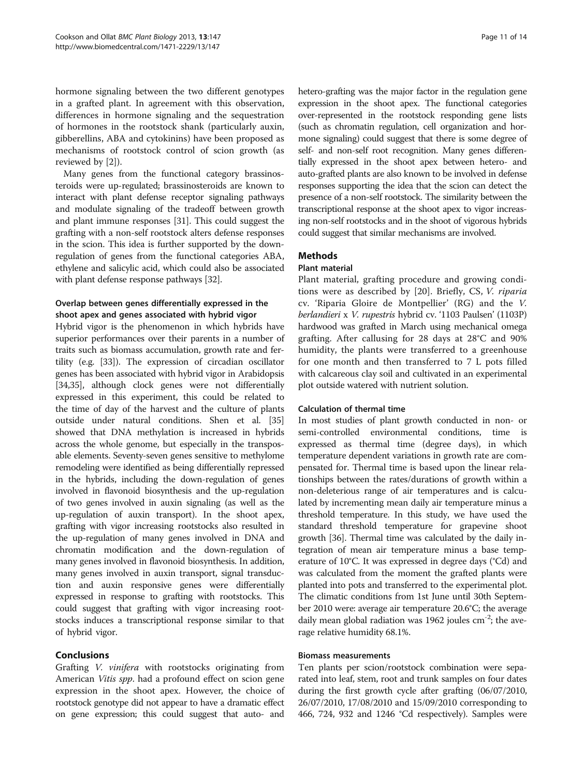hormone signaling between the two different genotypes in a grafted plant. In agreement with this observation, differences in hormone signaling and the sequestration of hormones in the rootstock shank (particularly auxin, gibberellins, ABA and cytokinins) have been proposed as mechanisms of rootstock control of scion growth (as reviewed by [2]).

Many genes from the functional category brassinosteroids were up-regulated; brassinosteroids are known to interact with plant defense receptor signaling pathways and modulate signaling of the tradeoff between growth and plant immune responses [31]. This could suggest the grafting with a non-self rootstock alters defense responses in the scion. This idea is further supported by the downregulation of genes from the functional categories ABA, ethylene and salicylic acid, which could also be associated with plant defense response pathways [32].

## Overlap between genes differentially expressed in the shoot apex and genes associated with hybrid vigor

Hybrid vigor is the phenomenon in which hybrids have superior performances over their parents in a number of traits such as biomass accumulation, growth rate and fertility (e.g. [33]). The expression of circadian oscillator genes has been associated with hybrid vigor in Arabidopsis [34,35], although clock genes were not differentially expressed in this experiment, this could be related to the time of day of the harvest and the culture of plants outside under natural conditions. Shen et al. [35] showed that DNA methylation is increased in hybrids across the whole genome, but especially in the transposable elements. Seventy-seven genes sensitive to methylome remodeling were identified as being differentially repressed in the hybrids, including the down-regulation of genes involved in flavonoid biosynthesis and the up-regulation of two genes involved in auxin signaling (as well as the up-regulation of auxin transport). In the shoot apex, grafting with vigor increasing rootstocks also resulted in the up-regulation of many genes involved in DNA and chromatin modification and the down-regulation of many genes involved in flavonoid biosynthesis. In addition, many genes involved in auxin transport, signal transduction and auxin responsive genes were differentially expressed in response to grafting with rootstocks. This could suggest that grafting with vigor increasing rootstocks induces a transcriptional response similar to that of hybrid vigor.

#### Conclusions

Grafting V. vinifera with rootstocks originating from American *Vitis spp*. had a profound effect on scion gene expression in the shoot apex. However, the choice of rootstock genotype did not appear to have a dramatic effect on gene expression; this could suggest that auto- and hetero-grafting was the major factor in the regulation gene expression in the shoot apex. The functional categories over-represented in the rootstock responding gene lists (such as chromatin regulation, cell organization and hormone signaling) could suggest that there is some degree of self- and non-self root recognition. Many genes differentially expressed in the shoot apex between hetero- and auto-grafted plants are also known to be involved in defense responses supporting the idea that the scion can detect the presence of a non-self rootstock. The similarity between the transcriptional response at the shoot apex to vigor increasing non-self rootstocks and in the shoot of vigorous hybrids could suggest that similar mechanisms are involved.

## Methods

### Plant material

Plant material, grafting procedure and growing conditions were as described by [20]. Briefly, CS, V. riparia cv. 'Riparia Gloire de Montpellier' (RG) and the V. berlandieri x V. rupestris hybrid cv. '1103 Paulsen' (1103P) hardwood was grafted in March using mechanical omega grafting. After callusing for 28 days at 28°C and 90% humidity, the plants were transferred to a greenhouse for one month and then transferred to 7 L pots filled with calcareous clay soil and cultivated in an experimental plot outside watered with nutrient solution.

#### Calculation of thermal time

In most studies of plant growth conducted in non- or semi-controlled environmental conditions, time is expressed as thermal time (degree days), in which temperature dependent variations in growth rate are compensated for. Thermal time is based upon the linear relationships between the rates/durations of growth within a non-deleterious range of air temperatures and is calculated by incrementing mean daily air temperature minus a threshold temperature. In this study, we have used the standard threshold temperature for grapevine shoot growth [36]. Thermal time was calculated by the daily integration of mean air temperature minus a base temperature of 10°C. It was expressed in degree days (°Cd) and was calculated from the moment the grafted plants were planted into pots and transferred to the experimental plot. The climatic conditions from 1st June until 30th September 2010 were: average air temperature 20.6°C; the average daily mean global radiation was 1962 joules  $cm<sup>-2</sup>$ ; the average relative humidity 68.1%.

#### Biomass measurements

Ten plants per scion/rootstock combination were separated into leaf, stem, root and trunk samples on four dates during the first growth cycle after grafting (06/07/2010, 26/07/2010, 17/08/2010 and 15/09/2010 corresponding to 466, 724, 932 and 1246 °Cd respectively). Samples were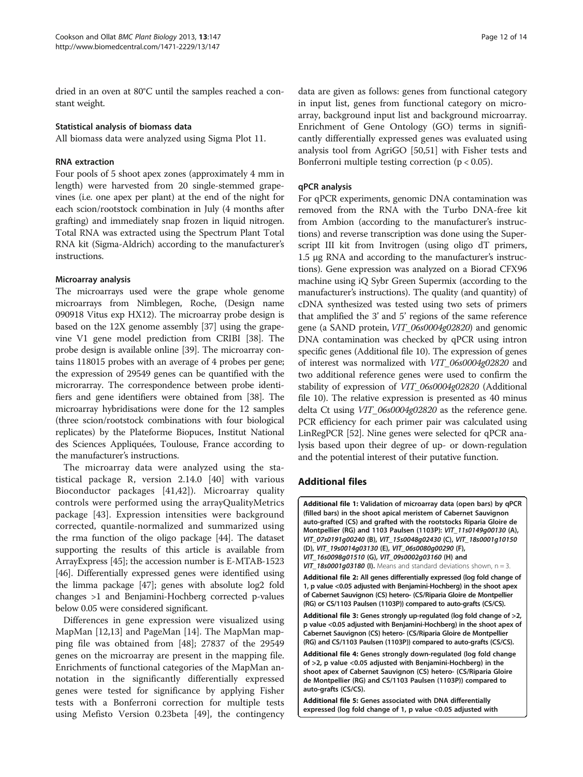dried in an oven at 80°C until the samples reached a constant weight.

#### Statistical analysis of biomass data

All biomass data were analyzed using Sigma Plot 11.

#### RNA extraction

Four pools of 5 shoot apex zones (approximately 4 mm in length) were harvested from 20 single-stemmed grapevines (i.e. one apex per plant) at the end of the night for each scion/rootstock combination in July (4 months after grafting) and immediately snap frozen in liquid nitrogen. Total RNA was extracted using the Spectrum Plant Total RNA kit (Sigma-Aldrich) according to the manufacturer's instructions.

#### Microarray analysis

The microarrays used were the grape whole genome microarrays from Nimblegen, Roche, (Design name 090918 Vitus exp HX12). The microarray probe design is based on the 12X genome assembly [37] using the grapevine V1 gene model prediction from CRIBI [38]. The probe design is available online [39]. The microarray contains 118015 probes with an average of 4 probes per gene; the expression of 29549 genes can be quantified with the microrarray. The correspondence between probe identifiers and gene identifiers were obtained from [38]. The microarray hybridisations were done for the 12 samples (three scion/rootstock combinations with four biological replicates) by the Plateforme Biopuces, Institut National des Sciences Appliquées, Toulouse, France according to the manufacturer's instructions.

The microarray data were analyzed using the statistical package R, version 2.14.0 [40] with various Bioconductor packages [41,42]). Microarray quality controls were performed using the arrayQualityMetrics package [43]. Expression intensities were background corrected, quantile-normalized and summarized using the rma function of the oligo package [44]. The dataset supporting the results of this article is available from ArrayExpress [45]; the accession number is E-MTAB-1523 [46]. Differentially expressed genes were identified using the limma package [47]; genes with absolute log2 fold changes >1 and Benjamini-Hochberg corrected p-values below 0.05 were considered significant.

Differences in gene expression were visualized using MapMan [12,13] and PageMan [14]. The MapMan mapping file was obtained from [48]; 27837 of the 29549 genes on the microarray are present in the mapping file. Enrichments of functional categories of the MapMan annotation in the significantly differentially expressed genes were tested for significance by applying Fisher tests with a Bonferroni correction for multiple tests using Mefisto Version 0.23beta [49], the contingency data are given as follows: genes from functional category in input list, genes from functional category on microarray, background input list and background microarray. Enrichment of Gene Ontology (GO) terms in significantly differentially expressed genes was evaluated using analysis tool from AgriGO [50,51] with Fisher tests and Bonferroni multiple testing correction ( $p < 0.05$ ).

#### qPCR analysis

For qPCR experiments, genomic DNA contamination was removed from the RNA with the Turbo DNA-free kit from Ambion (according to the manufacturer's instructions) and reverse transcription was done using the Superscript III kit from Invitrogen (using oligo dT primers, 1.5 μg RNA and according to the manufacturer's instructions). Gene expression was analyzed on a Biorad CFX96 machine using iQ Sybr Green Supermix (according to the manufacturer's instructions). The quality (and quantity) of cDNA synthesized was tested using two sets of primers that amplified the 3' and 5' regions of the same reference gene (a SAND protein, VIT\_06s0004g02820) and genomic DNA contamination was checked by qPCR using intron specific genes (Additional file 10). The expression of genes of interest was normalized with VIT\_06s0004g02820 and two additional reference genes were used to confirm the stability of expression of VIT\_06s0004g02820 (Additional file 10). The relative expression is presented as 40 minus delta Ct using VIT\_06s0004g02820 as the reference gene. PCR efficiency for each primer pair was calculated using LinRegPCR [52]. Nine genes were selected for qPCR analysis based upon their degree of up- or down-regulation and the potential interest of their putative function.

#### Additional files

[Additional file 1:](http://www.biomedcentral.com/content/supplementary/1471-2229-13-147-S1.docx) Validation of microarray data (open bars) by qPCR (filled bars) in the shoot apical meristem of Cabernet Sauvignon auto-grafted (CS) and grafted with the rootstocks Riparia Gloire de Montpellier (RG) and 1103 Paulsen (1103P): VIT\_11s0149g00130 (A), VIT\_07s0191g00240 (B), VIT\_15s0048g02430 (C), VIT\_18s0001g10150 (D), VIT\_19s0014g03130 (E), VIT\_06s0080g00290 (F), VIT\_16s0098g01510 (G), VIT\_09s0002g03160 (H) and  $VIT_18s0001g03180$  (I). Means and standard deviations shown,  $n = 3$ . [Additional file 2:](http://www.biomedcentral.com/content/supplementary/1471-2229-13-147-S2.xlsx) All genes differentially expressed (log fold change of

1, p value <0.05 adjusted with Benjamini-Hochberg) in the shoot apex of Cabernet Sauvignon (CS) hetero- (CS/Riparia Gloire de Montpellier (RG) or CS/1103 Paulsen (1103P)) compared to auto-grafts (CS/CS).

[Additional file 3:](http://www.biomedcentral.com/content/supplementary/1471-2229-13-147-S3.xlsx) Genes strongly up-regulated (log fold change of >2, p value <0.05 adjusted with Benjamini-Hochberg) in the shoot apex of Cabernet Sauvignon (CS) hetero- (CS/Riparia Gloire de Montpellier (RG) and CS/1103 Paulsen (1103P)) compared to auto-grafts (CS/CS).

[Additional file 4:](http://www.biomedcentral.com/content/supplementary/1471-2229-13-147-S4.xlsx) Genes strongly down-regulated (log fold change of >2, p value <0.05 adjusted with Benjamini-Hochberg) in the shoot apex of Cabernet Sauvignon (CS) hetero- (CS/Riparia Gloire de Montpellier (RG) and CS/1103 Paulsen (1103P)) compared to auto-grafts (CS/CS).

[Additional file 5:](http://www.biomedcentral.com/content/supplementary/1471-2229-13-147-S5.xlsx) Genes associated with DNA differentially expressed (log fold change of 1, p value <0.05 adjusted with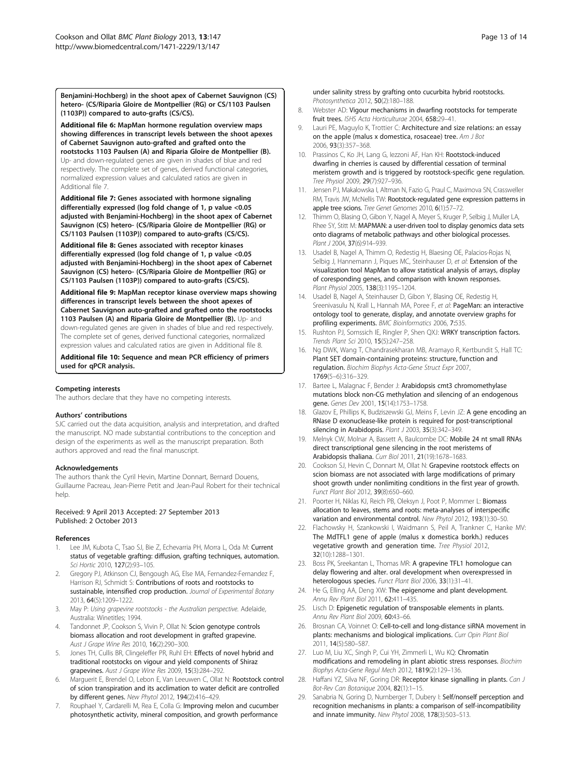Benjamini-Hochberg) in the shoot apex of Cabernet Sauvignon (CS) hetero- (CS/Riparia Gloire de Montpellier (RG) or CS/1103 Paulsen (1103P)) compared to auto-grafts (CS/CS).

[Additional file 6:](http://www.biomedcentral.com/content/supplementary/1471-2229-13-147-S6.docx) MapMan hormone regulation overview maps showing differences in transcript levels between the shoot apexes of Cabernet Sauvignon auto-grafted and grafted onto the

rootstocks 1103 Paulsen (A) and Riparia Gloire de Montpellier (B). Up- and down-regulated genes are given in shades of blue and red respectively. The complete set of genes, derived functional categories, normalized expression values and calculated ratios are given in Additional file 7.

[Additional file 7:](http://www.biomedcentral.com/content/supplementary/1471-2229-13-147-S7.xlsx) Genes associated with hormone signaling differentially expressed (log fold change of 1, p value <0.05 adjusted with Benjamini-Hochberg) in the shoot apex of Cabernet Sauvignon (CS) hetero- (CS/Riparia Gloire de Montpellier (RG) or CS/1103 Paulsen (1103P)) compared to auto-grafts (CS/CS).

[Additional file 8:](http://www.biomedcentral.com/content/supplementary/1471-2229-13-147-S8.xlsx) Genes associated with receptor kinases differentially expressed (log fold change of 1, p value <0.05 adjusted with Benjamini-Hochberg) in the shoot apex of Cabernet Sauvignon (CS) hetero- (CS/Riparia Gloire de Montpellier (RG) or CS/1103 Paulsen (1103P)) compared to auto-grafts (CS/CS).

[Additional file 9:](http://www.biomedcentral.com/content/supplementary/1471-2229-13-147-S9.docx) MapMan receptor kinase overview maps showing differences in transcript levels between the shoot apexes of Cabernet Sauvignon auto-grafted and grafted onto the rootstocks 1103 Paulsen (A) and Riparia Gloire de Montpellier (B). Up- and down-regulated genes are given in shades of blue and red respectively. The complete set of genes, derived functional categories, normalized expression values and calculated ratios are given in Additional file 8.

[Additional file 10:](http://www.biomedcentral.com/content/supplementary/1471-2229-13-147-S10.docx) Sequence and mean PCR efficiency of primers used for qPCR analysis.

#### Competing interests

The authors declare that they have no competing interests.

#### Authors' contributions

SJC carried out the data acquisition, analysis and interpretation, and drafted the manuscript. NO made substantial contributions to the conception and design of the experiments as well as the manuscript preparation. Both authors approved and read the final manuscript.

#### Acknowledgements

The authors thank the Cyril Hevin, Martine Donnart, Bernard Douens, Guillaume Pacreau, Jean-Pierre Petit and Jean-Paul Robert for their technical help.

#### Received: 9 April 2013 Accepted: 27 September 2013 Published: 2 October 2013

#### References

- Lee JM, Kubota C, Tsao SJ, Bie Z, Echevarria PH, Morra L, Oda M: Current status of vegetable grafting: diffusion, grafting techniques, automation. Sci Hortic 2010, 127(2):93-105.
- 2. Gregory PJ, Atkinson CJ, Bengough AG, Else MA, Fernandez-Fernandez F, Harrison RJ, Schmidt S: Contributions of roots and rootstocks to sustainable, intensified crop production. Journal of Experimental Botany 2013, 64(5):1209–1222.
- 3. May P: Using grapevine rootstocks the Australian perspective. Adelaide, Australia: Winetitles; 1994.
- Tandonnet JP, Cookson S, Vivin P, Ollat N: Scion genotype controls biomass allocation and root development in grafted grapevine. Aust J Grape Wine Res 2010, 16(2):290–300.
- 5. Jones TH, Cullis BR, Clingeleffer PR, Ruhl EH: Effects of novel hybrid and traditional rootstocks on vigour and yield components of Shiraz grapevines. Aust J Grape Wine Res 2009, 15(3):284-292.
- 6. Marguerit E, Brendel O, Lebon E, Van Leeuwen C, Ollat N: Rootstock control of scion transpiration and its acclimation to water deficit are controlled by different genes. New Phytol 2012, 194(2):416–429.
- 7. Rouphael Y, Cardarelli M, Rea E, Colla G: Improving melon and cucumber photosynthetic activity, mineral composition, and growth performance

under salinity stress by grafting onto cucurbita hybrid rootstocks. Photosynthetica 2012, 50(2):180–188.

- 8. Webster AD: Vigour mechanisms in dwarfing rootstocks for temperate fruit trees. ISHS Acta Horticulturae 2004, 658:29–41.
- 9. Lauri PE, Maguylo K, Trottier C: Architecture and size relations: an essay on the apple (malus x domestica, rosaceae) tree. Am J Bot 2006, 93(3):357–368.
- 10. Prassinos C, Ko JH, Lang G, Iezzoni AF, Han KH: Rootstock-induced dwarfing in cherries is caused by differential cessation of terminal meristem growth and is triggered by rootstock-specific gene regulation. Tree Physiol 2009, 29(7):927–936.
- 11. Jensen PJ, Makalowska I, Altman N, Fazio G, Praul C, Maximova SN, Crassweller RM, Travis JW, McNellis TW: Rootstock-regulated gene expression patterns in apple tree scions. Tree Genet Genomes 2010, 6(1):57–72.
- 12. Thimm O, Blasing O, Gibon Y, Nagel A, Meyer S, Kruger P, Selbig J, Muller LA, Rhee SY, Stitt M: MAPMAN: a user-driven tool to display genomics data sets onto diagrams of metabolic pathways and other biological processes. Plant J 2004, 37(6):914–939.
- 13. Usadel B, Nagel A, Thimm O, Redestig H, Blaesing OE, Palacios-Rojas N, Selbig J, Hannemann J, Piques MC, Steinhauser D, et al: Extension of the visualization tool MapMan to allow statistical analysis of arrays, display of coresponding genes, and comparison with known responses. Plant Physiol 2005, 138(3):1195–1204.
- 14. Usadel B, Nagel A, Steinhauser D, Gibon Y, Blasing OE, Redestig H, Sreenivasulu N, Krall L, Hannah MA, Poree F, et al: PageMan: an interactive ontology tool to generate, display, and annotate overview graphs for profiling experiments. BMC Bioinformatics 2006, 7:535.
- 15. Rushton PJ, Somssich IE, Ringler P, Shen QXJ: WRKY transcription factors. Trends Plant Sci 2010, 15(5):247–258.
- 16. Ng DWK, Wang T, Chandrasekharan MB, Aramayo R, Kertbundit S, Hall TC: Plant SET domain-containing proteins: structure, function and regulation. Biochim Biophys Acta-Gene Struct Expr 2007, 1769(5–6):316–329.
- 17. Bartee L, Malagnac F, Bender J: Arabidopsis cmt3 chromomethylase mutations block non-CG methylation and silencing of an endogenous gene. Genes Dev 2001, 15(14):1753–1758.
- 18. Glazov E, Phillips K, Budziszewski GJ, Meins F, Levin JZ: A gene encoding an RNase D exonuclease-like protein is required for post-transcriptional silencing in Arabidopsis. Plant J 2003, 35(3):342-349.
- 19. Melnyk CW, Molnar A, Bassett A, Baulcombe DC: Mobile 24 nt small RNAs direct transcriptional gene silencing in the root meristems of Arabidopsis thaliana. Curr Biol 2011, 21(19):1678–1683.
- 20. Cookson SJ, Hevin C, Donnart M, Ollat N: Grapevine rootstock effects on scion biomass are not associated with large modifications of primary shoot growth under nonlimiting conditions in the first year of growth. Funct Plant Biol 2012, 39(8):650–660.
- 21. Poorter H, Niklas KJ, Reich PB, Oleksyn J, Poot P, Mommer L: Biomass allocation to leaves, stems and roots: meta-analyses of interspecific variation and environmental control. New Phytol 2012, 193(1):30–50.
- 22. Flachowsky H, Szankowski I, Waidmann S, Peil A, Trankner C, Hanke MV: The MdTFL1 gene of apple (malus x domestica borkh.) reduces vegetative growth and generation time. Tree Physiol 2012, 32(10):1288–1301.
- 23. Boss PK, Sreekantan L, Thomas MR: A grapevine TFL1 homologue can delay flowering and alter. oral development when overexpressed in heterologous species. Funct Plant Biol 2006, 33(1):31–41.
- 24. He G, Elling AA, Deng XW: The epigenome and plant development. Annu Rev Plant Biol 2011, 62:411–435.
- 25. Lisch D: Epigenetic regulation of transposable elements in plants. Annu Rev Plant Biol 2009, 60:43–66.
- 26. Brosnan CA, Voinnet O: Cell-to-cell and long-distance siRNA movement in plants: mechanisms and biological implications. Curr Opin Plant Biol 2011, 14(5):580–587.
- 27. Luo M, Liu XC, Singh P, Cui YH, Zimmerli L, Wu KQ: Chromatin modifications and remodeling in plant abiotic stress responses. Biochim Biophys Acta-Gene Regul Mech 2012, 1819(2):129–136.
- 28. Haffani YZ, Silva NF, Goring DR: Receptor kinase signalling in plants. Can J Bot-Rev Can Botanique 2004, 82(1):1–15.
- 29. Sanabria N, Goring D, Nurnberger T, Dubery I: Self/nonself perception and recognition mechanisms in plants: a comparison of self-incompatibility and innate immunity. New Phytol 2008, 178(3):503–513.